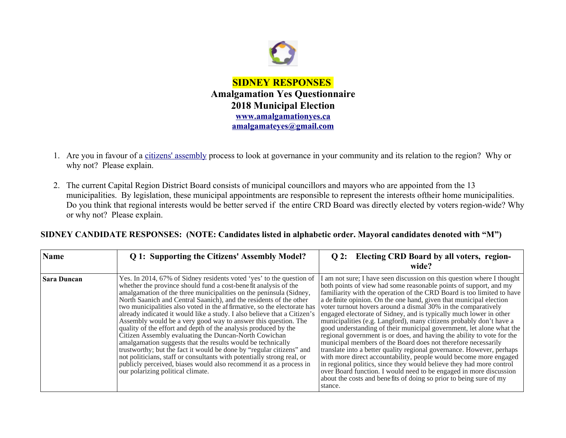

- 1. Are you in favour of a [citizens' assembly](https://en.wikipedia.org/wiki/Citizens) process to look at governance in your community and its relation to the region? Why or why not? Please explain.
- 2. The current Capital Region District Board consists of municipal councillors and mayors who are appointed from the 13 municipalities. By legislation, these municipal appointments are responsible to represent the interests oftheir home municipalities. Do you think that regional interests would be better served if the entire CRD Board was directly elected by voters region-wide? Why or why not? Please explain.

| SIDNEY CANDIDATE RESPONSES: (NOTE: Candidates listed in alphabetic order. Mayoral candidates denoted with "M") |  |  |  |  |
|----------------------------------------------------------------------------------------------------------------|--|--|--|--|
|----------------------------------------------------------------------------------------------------------------|--|--|--|--|

| <b>Name</b>        | Q 1: Supporting the Citizens' Assembly Model?                                                                                                                                                                                                                                                                                                                                                                                                                                                                                                                                                                                                                                                                                                                                                                                                                                                                                                                         | Q 2: Electing CRD Board by all voters, region-<br>wide?                                                                                                                                                                                                                                                                                                                                                                                                                                                                                                                                                                                                                                                                                                                                                                                                                                                                                                                                                                                                                                                   |
|--------------------|-----------------------------------------------------------------------------------------------------------------------------------------------------------------------------------------------------------------------------------------------------------------------------------------------------------------------------------------------------------------------------------------------------------------------------------------------------------------------------------------------------------------------------------------------------------------------------------------------------------------------------------------------------------------------------------------------------------------------------------------------------------------------------------------------------------------------------------------------------------------------------------------------------------------------------------------------------------------------|-----------------------------------------------------------------------------------------------------------------------------------------------------------------------------------------------------------------------------------------------------------------------------------------------------------------------------------------------------------------------------------------------------------------------------------------------------------------------------------------------------------------------------------------------------------------------------------------------------------------------------------------------------------------------------------------------------------------------------------------------------------------------------------------------------------------------------------------------------------------------------------------------------------------------------------------------------------------------------------------------------------------------------------------------------------------------------------------------------------|
| <b>Sara Duncan</b> | Yes. In 2014, 67% of Sidney residents voted 'yes' to the question of<br>whether the province should fund a cost-bene fit analysis of the<br>amalgamation of the three municipalities on the peninsula (Sidney,<br>North Saanich and Central Saanich), and the residents of the other<br>two municipalities also voted in the affirmative, so the electorate has<br>already indicated it would like a study. I also believe that a Citizen's<br>Assembly would be a very good way to answer this question. The<br>quality of the effort and depth of the analysis produced by the<br>Citizen Assembly evaluating the Duncan-North Cowichan<br>amalgamation suggests that the results would be technically<br>trustworthy; but the fact it would be done by "regular citizens" and<br>not politicians, staff or consultants with potentially strong real, or<br>publicly perceived, biases would also recommend it as a process in<br>our polarizing political climate. | I am not sure; I have seen discussion on this question where I thought<br>both points of view had some reasonable points of support, and my<br>familiarity with the operation of the CRD Board is too limited to have<br>a definite opinion. On the one hand, given that municipal election<br>voter turnout hovers around a dismal 30% in the comparatively<br>engaged electorate of Sidney, and is typically much lower in other<br>municipalities (e.g. Langford), many citizens probably don't have a<br>good understanding of their municipal government, let alone what the<br>regional government is or does, and having the ability to vote for the<br>municipal members of the Board does not therefore necessarily<br>translate into a better quality regional governance. However, perhaps<br>with more direct accountability, people would become more engaged<br>in regional politics, since they would believe they had more control<br>over Board function. I would need to be engaged in more discussion<br>about the costs and benefits of doing so prior to being sure of my<br>stance. |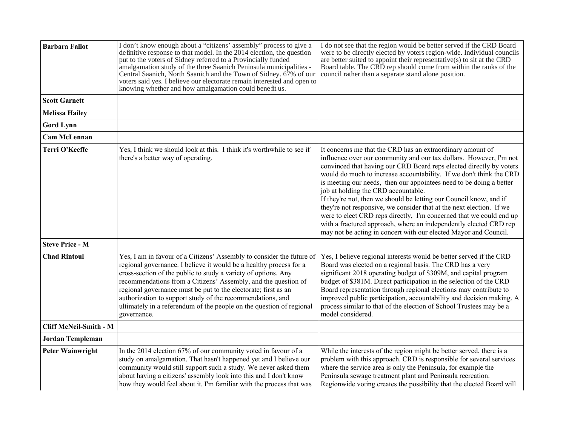| <b>Barbara Fallot</b>   | I don't know enough about a "citizens' assembly" process to give a<br>definitive response to that model. In the 2014 election, the question<br>put to the voters of Sidney referred to a Provincially funded<br>amalgamation study of the three Saanich Peninsula municipalities -<br>Central Saanich, North Saanich and the Town of Sidney. 67% of our<br>voters said yes. I believe our electorate remain interested and open to<br>knowing whether and how amalgamation could benefit us.           | I do not see that the region would be better served if the CRD Board<br>were to be directly elected by voters region-wide. Individual councils<br>are better suited to appoint their representative(s) to sit at the CRD<br>Board table. The CRD rep should come from within the ranks of the<br>council rather than a separate stand alone position.                                                                                                                                                                                                                                                                                                                                                                                                      |
|-------------------------|--------------------------------------------------------------------------------------------------------------------------------------------------------------------------------------------------------------------------------------------------------------------------------------------------------------------------------------------------------------------------------------------------------------------------------------------------------------------------------------------------------|------------------------------------------------------------------------------------------------------------------------------------------------------------------------------------------------------------------------------------------------------------------------------------------------------------------------------------------------------------------------------------------------------------------------------------------------------------------------------------------------------------------------------------------------------------------------------------------------------------------------------------------------------------------------------------------------------------------------------------------------------------|
| <b>Scott Garnett</b>    |                                                                                                                                                                                                                                                                                                                                                                                                                                                                                                        |                                                                                                                                                                                                                                                                                                                                                                                                                                                                                                                                                                                                                                                                                                                                                            |
| <b>Melissa Hailey</b>   |                                                                                                                                                                                                                                                                                                                                                                                                                                                                                                        |                                                                                                                                                                                                                                                                                                                                                                                                                                                                                                                                                                                                                                                                                                                                                            |
| <b>Gord Lynn</b>        |                                                                                                                                                                                                                                                                                                                                                                                                                                                                                                        |                                                                                                                                                                                                                                                                                                                                                                                                                                                                                                                                                                                                                                                                                                                                                            |
| <b>Cam McLennan</b>     |                                                                                                                                                                                                                                                                                                                                                                                                                                                                                                        |                                                                                                                                                                                                                                                                                                                                                                                                                                                                                                                                                                                                                                                                                                                                                            |
| Terri O'Keeffe          | Yes, I think we should look at this. I think it's worthwhile to see if<br>there's a better way of operating.                                                                                                                                                                                                                                                                                                                                                                                           | It concerns me that the CRD has an extraordinary amount of<br>influence over our community and our tax dollars. However, I'm not<br>convinced that having our CRD Board reps elected directly by voters<br>would do much to increase accountability. If we don't think the CRD<br>is meeting our needs, then our appointees need to be doing a better<br>job at holding the CRD accountable.<br>If they're not, then we should be letting our Council know, and if<br>they're not responsive, we consider that at the next election. If we<br>were to elect CRD reps directly, I'm concerned that we could end up<br>with a fractured approach, where an independently elected CRD rep<br>may not be acting in concert with our elected Mayor and Council. |
| <b>Steve Price - M</b>  |                                                                                                                                                                                                                                                                                                                                                                                                                                                                                                        |                                                                                                                                                                                                                                                                                                                                                                                                                                                                                                                                                                                                                                                                                                                                                            |
| <b>Chad Rintoul</b>     | Yes, I am in favour of a Citizens' Assembly to consider the future of<br>regional governance. I believe it would be a healthy process for a<br>cross-section of the public to study a variety of options. Any<br>recommendations from a Citizens' Assembly, and the question of<br>regional governance must be put to the electorate; first as an<br>authorization to support study of the recommendations, and<br>ultimately in a referendum of the people on the question of regional<br>governance. | Yes, I believe regional interests would be better served if the CRD<br>Board was elected on a regional basis. The CRD has a very<br>significant 2018 operating budget of \$309M, and capital program<br>budget of \$381M. Direct participation in the selection of the CRD<br>Board representation through regional elections may contribute to<br>improved public participation, accountability and decision making. A<br>process similar to that of the election of School Trustees may be a<br>model considered.                                                                                                                                                                                                                                        |
| Cliff McNeil-Smith - M  |                                                                                                                                                                                                                                                                                                                                                                                                                                                                                                        |                                                                                                                                                                                                                                                                                                                                                                                                                                                                                                                                                                                                                                                                                                                                                            |
| <b>Jordan Templeman</b> |                                                                                                                                                                                                                                                                                                                                                                                                                                                                                                        |                                                                                                                                                                                                                                                                                                                                                                                                                                                                                                                                                                                                                                                                                                                                                            |
| <b>Peter Wainwright</b> | In the 2014 election 67% of our community voted in favour of a<br>study on amalgamation. That hasn't happened yet and I believe our<br>community would still support such a study. We never asked them<br>about having a citizens' assembly look into this and I don't know<br>how they would feel about it. I'm familiar with the process that was                                                                                                                                                    | While the interests of the region might be better served, there is a<br>problem with this approach. CRD is responsible for several services<br>where the service area is only the Peninsula, for example the<br>Peninsula sewage treatment plant and Peninsula recreation.<br>Regionwide voting creates the possibility that the elected Board will                                                                                                                                                                                                                                                                                                                                                                                                        |